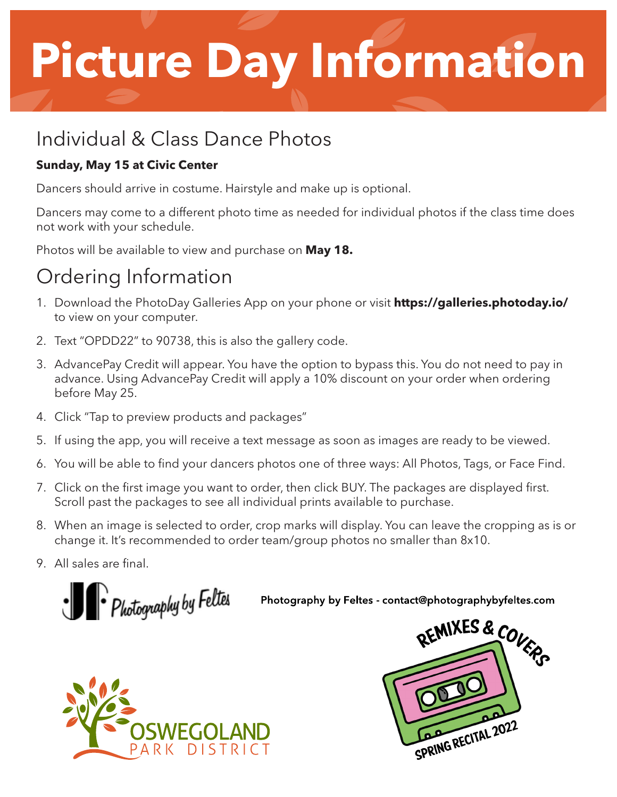## **Picture Day Information**

### Individual & Class Dance Photos

#### **Sunday, May 15 at Civic Center**

Dancers should arrive in costume. Hairstyle and make up is optional.

Dancers may come to a different photo time as needed for individual photos if the class time does not work with your schedule.

Photos will be available to view and purchase on **May 18.**

## Ordering Information

- 1. Download the PhotoDay Galleries App on your phone or visit **https://galleries.photoday.io/** to view on your computer.
- 2. Text "OPDD22" to 90738, this is also the gallery code.
- 3. AdvancePay Credit will appear. You have the option to bypass this. You do not need to pay in advance. Using AdvancePay Credit will apply a 10% discount on your order when ordering before May 25.
- 4. Click "Tap to preview products and packages"
- 5. If using the app, you will receive a text message as soon as images are ready to be viewed.
- 6. You will be able to find your dancers photos one of three ways: All Photos, Tags, or Face Find.
- 7. Click on the first image you want to order, then click BUY. The packages are displayed first. Scroll past the packages to see all individual prints available to purchase.
- 8. When an image is selected to order, crop marks will display. You can leave the cropping as is or change it. It's recommended to order team/group photos no smaller than 8x10.
- 9. All sales are final.

· Photography by Feltes

Photography by Feltes - contact@photographybyfeltes.com